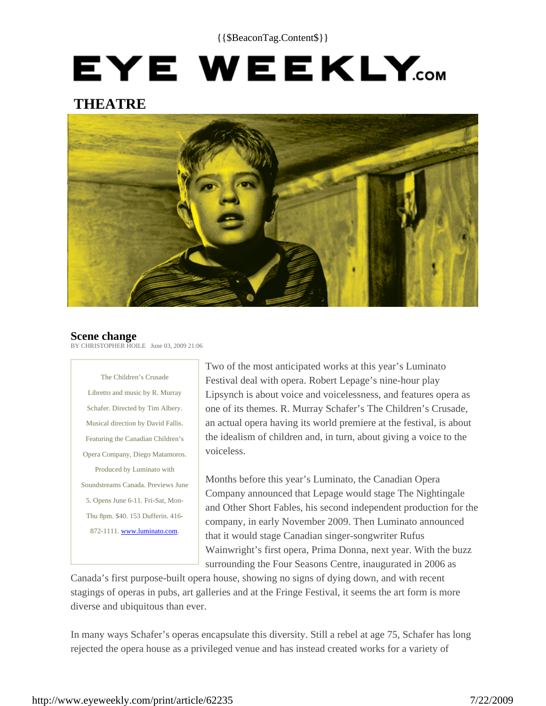{{\$BeaconTag.Content\$}}

# EYE WEEKLY.com

### **THEATRE**



#### **Scene change**

BY CHRISTOPHER HOILE June 03, 2009 21:06

The Children's Crusade Libretto and music by R. Murray Schafer. Directed by Tim Albery. Musical direction by David Fallis. Featuring the Canadian Children's Opera Company, Diego Matamoros. Produced by Luminato with Soundstreams Canada. Previews June 5. Opens June 6-11. Fri-Sat, Mon-Thu 8pm. \$40. 153 Dufferin. 416- 872-1111. www.luminato.com.

Two of the most anticipated works at this year's Luminato Festival deal with opera. Robert Lepage's nine-hour play Lipsynch is about voice and voicelessness, and features opera as one of its themes. R. Murray Schafer's The Children's Crusade, an actual opera having its world premiere at the festival, is about the idealism of children and, in turn, about giving a voice to the voiceless.

Months before this year's Luminato, the Canadian Opera Company announced that Lepage would stage The Nightingale and Other Short Fables, his second independent production for the company, in early November 2009. Then Luminato announced that it would stage Canadian singer-songwriter Rufus Wainwright's first opera, Prima Donna, next year. With the buzz surrounding the Four Seasons Centre, inaugurated in 2006 as

Canada's first purpose-built opera house, showing no signs of dying down, and with recent stagings of operas in pubs, art galleries and at the Fringe Festival, it seems the art form is more diverse and ubiquitous than ever.

In many ways Schafer's operas encapsulate this diversity. Still a rebel at age 75, Schafer has long rejected the opera house as a privileged venue and has instead created works for a variety of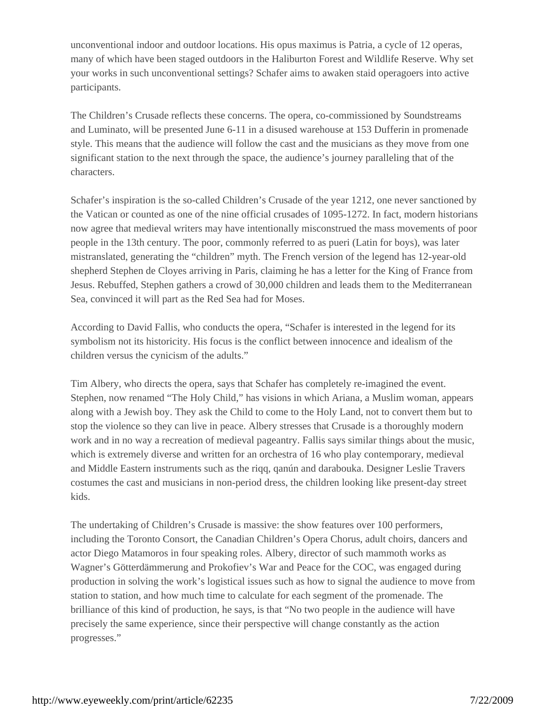unconventional indoor and outdoor locations. His opus maximus is Patria, a cycle of 12 operas, many of which have been staged outdoors in the Haliburton Forest and Wildlife Reserve. Why set your works in such unconventional settings? Schafer aims to awaken staid operagoers into active participants.

The Children's Crusade reflects these concerns. The opera, co-commissioned by Soundstreams and Luminato, will be presented June 6-11 in a disused warehouse at 153 Dufferin in promenade style. This means that the audience will follow the cast and the musicians as they move from one significant station to the next through the space, the audience's journey paralleling that of the characters.

Schafer's inspiration is the so-called Children's Crusade of the year 1212, one never sanctioned by the Vatican or counted as one of the nine official crusades of 1095-1272. In fact, modern historians now agree that medieval writers may have intentionally misconstrued the mass movements of poor people in the 13th century. The poor, commonly referred to as pueri (Latin for boys), was later mistranslated, generating the "children" myth. The French version of the legend has 12-year-old shepherd Stephen de Cloyes arriving in Paris, claiming he has a letter for the King of France from Jesus. Rebuffed, Stephen gathers a crowd of 30,000 children and leads them to the Mediterranean Sea, convinced it will part as the Red Sea had for Moses.

According to David Fallis, who conducts the opera, "Schafer is interested in the legend for its symbolism not its historicity. His focus is the conflict between innocence and idealism of the children versus the cynicism of the adults."

Tim Albery, who directs the opera, says that Schafer has completely re-imagined the event. Stephen, now renamed "The Holy Child," has visions in which Ariana, a Muslim woman, appears along with a Jewish boy. They ask the Child to come to the Holy Land, not to convert them but to stop the violence so they can live in peace. Albery stresses that Crusade is a thoroughly modern work and in no way a recreation of medieval pageantry. Fallis says similar things about the music, which is extremely diverse and written for an orchestra of 16 who play contemporary, medieval and Middle Eastern instruments such as the riqq, qanún and darabouka. Designer Leslie Travers costumes the cast and musicians in non-period dress, the children looking like present-day street kids.

The undertaking of Children's Crusade is massive: the show features over 100 performers, including the Toronto Consort, the Canadian Children's Opera Chorus, adult choirs, dancers and actor Diego Matamoros in four speaking roles. Albery, director of such mammoth works as Wagner's Götterdämmerung and Prokofiev's War and Peace for the COC, was engaged during production in solving the work's logistical issues such as how to signal the audience to move from station to station, and how much time to calculate for each segment of the promenade. The brilliance of this kind of production, he says, is that "No two people in the audience will have precisely the same experience, since their perspective will change constantly as the action progresses."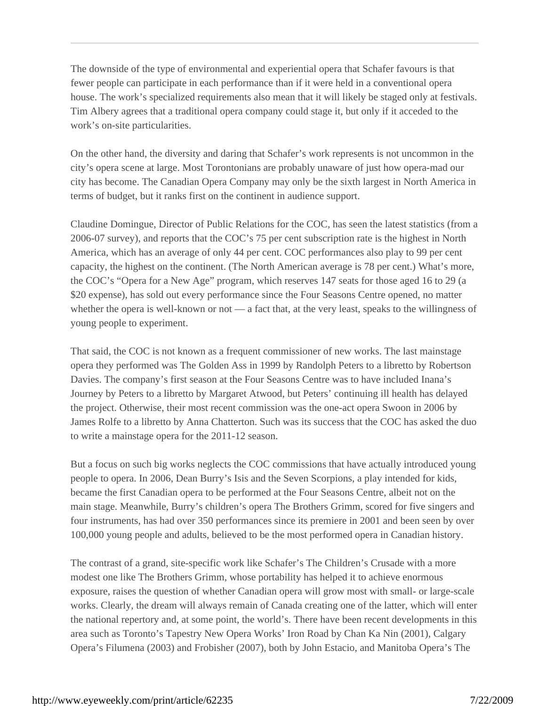The downside of the type of environmental and experiential opera that Schafer favours is that fewer people can participate in each performance than if it were held in a conventional opera house. The work's specialized requirements also mean that it will likely be staged only at festivals. Tim Albery agrees that a traditional opera company could stage it, but only if it acceded to the work's on-site particularities.

On the other hand, the diversity and daring that Schafer's work represents is not uncommon in the city's opera scene at large. Most Torontonians are probably unaware of just how opera-mad our city has become. The Canadian Opera Company may only be the sixth largest in North America in terms of budget, but it ranks first on the continent in audience support.

Claudine Domingue, Director of Public Relations for the COC, has seen the latest statistics (from a 2006-07 survey), and reports that the COC's 75 per cent subscription rate is the highest in North America, which has an average of only 44 per cent. COC performances also play to 99 per cent capacity, the highest on the continent. (The North American average is 78 per cent.) What's more, the COC's "Opera for a New Age" program, which reserves 147 seats for those aged 16 to 29 (a \$20 expense), has sold out every performance since the Four Seasons Centre opened, no matter whether the opera is well-known or not — a fact that, at the very least, speaks to the willingness of young people to experiment.

That said, the COC is not known as a frequent commissioner of new works. The last mainstage opera they performed was The Golden Ass in 1999 by Randolph Peters to a libretto by Robertson Davies. The company's first season at the Four Seasons Centre was to have included Inana's Journey by Peters to a libretto by Margaret Atwood, but Peters' continuing ill health has delayed the project. Otherwise, their most recent commission was the one-act opera Swoon in 2006 by James Rolfe to a libretto by Anna Chatterton. Such was its success that the COC has asked the duo to write a mainstage opera for the 2011-12 season.

But a focus on such big works neglects the COC commissions that have actually introduced young people to opera. In 2006, Dean Burry's Isis and the Seven Scorpions, a play intended for kids, became the first Canadian opera to be performed at the Four Seasons Centre, albeit not on the main stage. Meanwhile, Burry's children's opera The Brothers Grimm, scored for five singers and four instruments, has had over 350 performances since its premiere in 2001 and been seen by over 100,000 young people and adults, believed to be the most performed opera in Canadian history.

The contrast of a grand, site-specific work like Schafer's The Children's Crusade with a more modest one like The Brothers Grimm, whose portability has helped it to achieve enormous exposure, raises the question of whether Canadian opera will grow most with small- or large-scale works. Clearly, the dream will always remain of Canada creating one of the latter, which will enter the national repertory and, at some point, the world's. There have been recent developments in this area such as Toronto's Tapestry New Opera Works' Iron Road by Chan Ka Nin (2001), Calgary Opera's Filumena (2003) and Frobisher (2007), both by John Estacio, and Manitoba Opera's The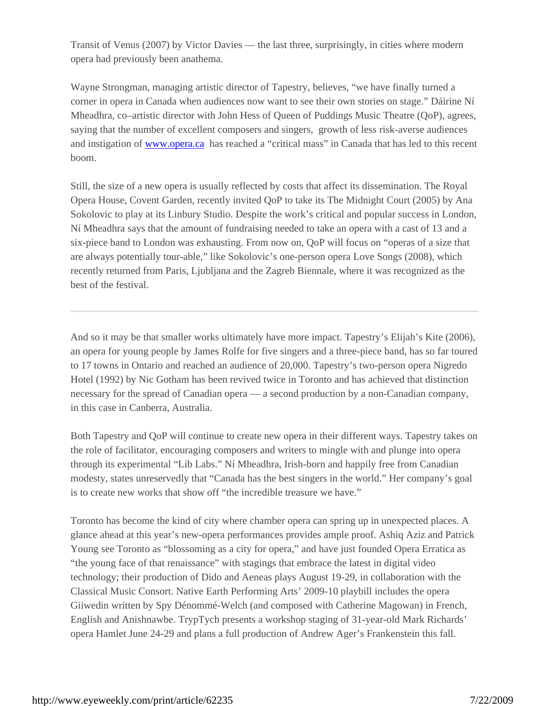Transit of Venus (2007) by Victor Davies — the last three, surprisingly, in cities where modern opera had previously been anathema.

Wayne Strongman, managing artistic director of Tapestry, believes, "we have finally turned a corner in opera in Canada when audiences now want to see their own stories on stage." Dáirine Ní Mheadhra, co–artistic director with John Hess of Queen of Puddings Music Theatre (QoP), agrees, saying that the number of excellent composers and singers, growth of less risk-averse audiences and instigation of www.opera.ca has reached a "critical mass" in Canada that has led to this recent boom.

Still, the size of a new opera is usually reflected by costs that affect its dissemination. The Royal Opera House, Covent Garden, recently invited QoP to take its The Midnight Court (2005) by Ana Sokolovic to play at its Linbury Studio. Despite the work's critical and popular success in London, Ní Mheadhra says that the amount of fundraising needed to take an opera with a cast of 13 and a six-piece band to London was exhausting. From now on, QoP will focus on "operas of a size that are always potentially tour-able," like Sokolovic's one-person opera Love Songs (2008), which recently returned from Paris, Ljubljana and the Zagreb Biennale, where it was recognized as the best of the festival.

And so it may be that smaller works ultimately have more impact. Tapestry's Elijah's Kite (2006), an opera for young people by James Rolfe for five singers and a three-piece band, has so far toured to 17 towns in Ontario and reached an audience of 20,000. Tapestry's two-person opera Nigredo Hotel (1992) by Nic Gotham has been revived twice in Toronto and has achieved that distinction necessary for the spread of Canadian opera — a second production by a non-Canadian company, in this case in Canberra, Australia.

Both Tapestry and QoP will continue to create new opera in their different ways. Tapestry takes on the role of facilitator, encouraging composers and writers to mingle with and plunge into opera through its experimental "Lib Labs." Ní Mheadhra, Irish-born and happily free from Canadian modesty, states unreservedly that "Canada has the best singers in the world." Her company's goal is to create new works that show off "the incredible treasure we have."

Toronto has become the kind of city where chamber opera can spring up in unexpected places. A glance ahead at this year's new-opera performances provides ample proof. Ashiq Aziz and Patrick Young see Toronto as "blossoming as a city for opera," and have just founded Opera Erratica as "the young face of that renaissance" with stagings that embrace the latest in digital video technology; their production of Dido and Aeneas plays August 19-29, in collaboration with the Classical Music Consort. Native Earth Performing Arts' 2009-10 playbill includes the opera Giiwedin written by Spy Dénommé-Welch (and composed with Catherine Magowan) in French, English and Anishnawbe. TrypTych presents a workshop staging of 31-year-old Mark Richards' opera Hamlet June 24-29 and plans a full production of Andrew Ager's Frankenstein this fall.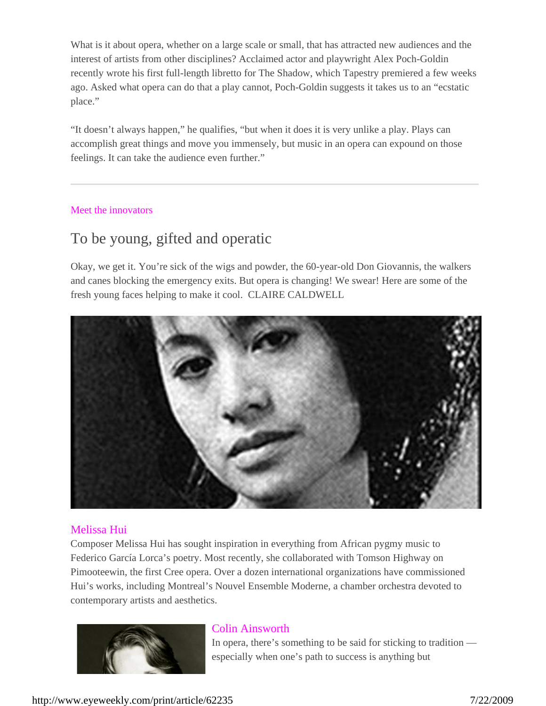What is it about opera, whether on a large scale or small, that has attracted new audiences and the interest of artists from other disciplines? Acclaimed actor and playwright Alex Poch-Goldin recently wrote his first full-length libretto for The Shadow, which Tapestry premiered a few weeks ago. Asked what opera can do that a play cannot, Poch-Goldin suggests it takes us to an "ecstatic place."

"It doesn't always happen," he qualifies, "but when it does it is very unlike a play. Plays can accomplish great things and move you immensely, but music in an opera can expound on those feelings. It can take the audience even further."

#### Meet the innovators

## To be young, gifted and operatic

Okay, we get it. You're sick of the wigs and powder, the 60-year-old Don Giovannis, the walkers and canes blocking the emergency exits. But opera is changing! We swear! Here are some of the fresh young faces helping to make it cool. CLAIRE CALDWELL



#### Melissa Hui

Composer Melissa Hui has sought inspiration in everything from African pygmy music to Federico García Lorca's poetry. Most recently, she collaborated with Tomson Highway on Pimooteewin, the first Cree opera. Over a dozen international organizations have commissioned Hui's works, including Montreal's Nouvel Ensemble Moderne, a chamber orchestra devoted to contemporary artists and aesthetics.



#### Colin Ainsworth

In opera, there's something to be said for sticking to tradition especially when one's path to success is anything but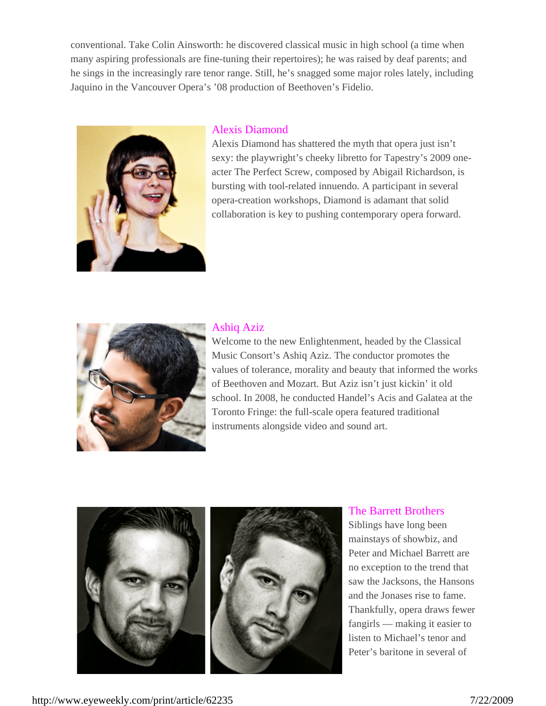conventional. Take Colin Ainsworth: he discovered classical music in high school (a time when many aspiring professionals are fine-tuning their repertoires); he was raised by deaf parents; and he sings in the increasingly rare tenor range. Still, he's snagged some major roles lately, including Jaquino in the Vancouver Opera's '08 production of Beethoven's Fidelio.



#### Alexis Diamond

Alexis Diamond has shattered the myth that opera just isn't sexy: the playwright's cheeky libretto for Tapestry's 2009 oneacter The Perfect Screw, composed by Abigail Richardson, is bursting with tool-related innuendo. A participant in several opera-creation workshops, Diamond is adamant that solid collaboration is key to pushing contemporary opera forward.



#### Ashiq Aziz

Welcome to the new Enlightenment, headed by the Classical Music Consort's Ashiq Aziz. The conductor promotes the values of tolerance, morality and beauty that informed the works of Beethoven and Mozart. But Aziz isn't just kickin' it old school. In 2008, he conducted Handel's Acis and Galatea at the Toronto Fringe: the full-scale opera featured traditional instruments alongside video and sound art.



#### The Barrett Brothers

Siblings have long been mainstays of showbiz, and Peter and Michael Barrett are no exception to the trend that saw the Jacksons, the Hansons and the Jonases rise to fame. Thankfully, opera draws fewer fangirls — making it easier to listen to Michael's tenor and Peter's baritone in several of